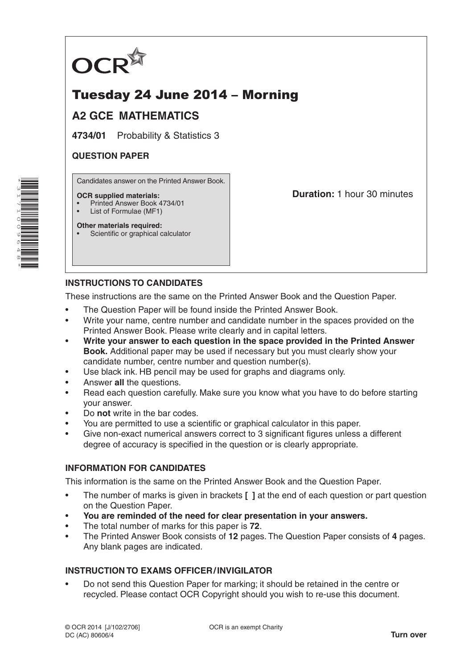

# Tuesday 24 June 2014 – Morning

# **A2 GCE MATHEMATICS**

**4734/01** Probability & Statistics 3

## **QUESTION PAPER**

Candidates answer on the Printed Answer Book.

#### **OCR supplied materials:**

- Printed Answer Book 4734/01
- List of Formulae (MF1)

**Other materials required:** Scientific or graphical calculator **Duration:** 1 hour 30 minutes

# **INSTRUCTIONS TO CANDIDATES**

These instructions are the same on the Printed Answer Book and the Question Paper.

- The Question Paper will be found inside the Printed Answer Book.
- Write your name, centre number and candidate number in the spaces provided on the Printed Answer Book. Please write clearly and in capital letters.
- **Write your answer to each question in the space provided in the Printed Answer Book.** Additional paper may be used if necessary but you must clearly show your candidate number, centre number and question number(s).
- Use black ink. HB pencil may be used for graphs and diagrams only.
- Answer **all** the questions.
- Read each question carefully. Make sure you know what you have to do before starting your answer.
- Do **not** write in the bar codes.
- You are permitted to use a scientific or graphical calculator in this paper.
- Give non-exact numerical answers correct to 3 significant figures unless a different degree of accuracy is specified in the question or is clearly appropriate.

### **INFORMATION FOR CANDIDATES**

This information is the same on the Printed Answer Book and the Question Paper.

- The number of marks is given in brackets **[ ]** at the end of each question or part question on the Question Paper.
- **You are reminded of the need for clear presentation in your answers.**
- The total number of marks for this paper is **72**.
- The Printed Answer Book consists of **12** pages. The Question Paper consists of **4** pages. Any blank pages are indicated.

### **INSTRUCTION TO EXAMS OFFICER/INVIGILATOR**

• Do not send this Question Paper for marking; it should be retained in the centre or recycled. Please contact OCR Copyright should you wish to re-use this document.

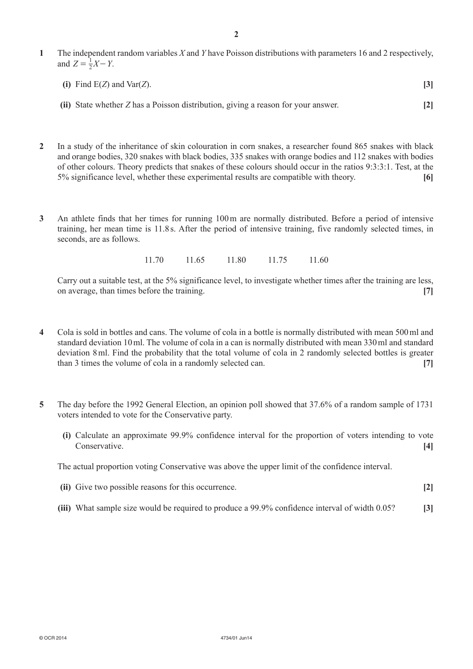- **1** The independent random variables *X* and *Y* have Poisson distributions with parameters 16 and 2 respectively, and  $Z = \frac{1}{2}X - Y$ .
	- **(i)** Find E(*Z*) and Var(*Z*). **[3]**
	- **(ii)** State whether *Z* has a Poisson distribution, giving a reason for your answer. **[2]**
- **2** In a study of the inheritance of skin colouration in corn snakes, a researcher found 865 snakes with black and orange bodies, 320 snakes with black bodies, 335 snakes with orange bodies and 112 snakes with bodies of other colours. Theory predicts that snakes of these colours should occur in the ratios 9:3:3:1. Test, at the 5% significance level, whether these experimental results are compatible with theory. **[6]**
- **3** An athlete finds that her times for running 100m are normally distributed. Before a period of intensive training, her mean time is 11.8 s. After the period of intensive training, five randomly selected times, in seconds, are as follows.

| 11.70 | 11.65 | 11.80 | 11.75 | 11.60 |
|-------|-------|-------|-------|-------|
|       |       |       |       |       |

Carry out a suitable test, at the 5% significance level, to investigate whether times after the training are less, on average, than times before the training. **[7]**

- **4** Cola is sold in bottles and cans. The volume of cola in a bottle is normally distributed with mean 500ml and standard deviation 10ml. The volume of cola in a can is normally distributed with mean 330ml and standard deviation 8ml. Find the probability that the total volume of cola in 2 randomly selected bottles is greater than 3 times the volume of cola in a randomly selected can. **[7]**
- **5** The day before the 1992 General Election, an opinion poll showed that 37.6% of a random sample of 1731 voters intended to vote for the Conservative party.
	- **(i)** Calculate an approximate 99.9% confidence interval for the proportion of voters intending to vote Conservative. **[4]**

The actual proportion voting Conservative was above the upper limit of the confidence interval.

- **(ii)** Give two possible reasons for this occurrence. **[2]**
- **(iii)** What sample size would be required to produce a 99.9% confidence interval of width 0.05? **[3]**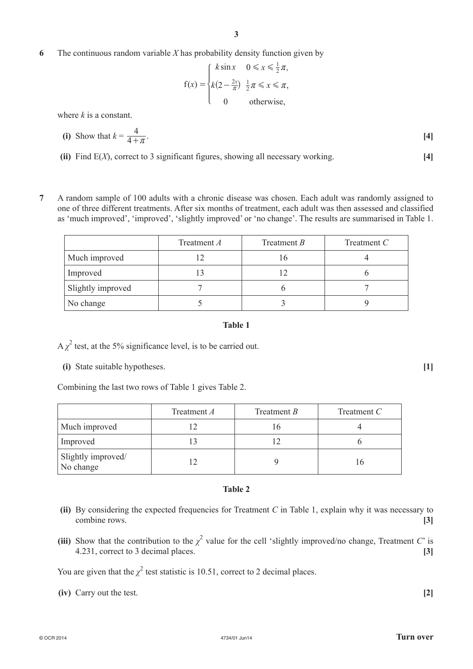# **6** The continuous random variable *X* has probability density function given by

$$
f(x) = \begin{cases} k \sin x & 0 \le x \le \frac{1}{2}\pi, \\ k(2 - \frac{2x}{\pi}) & \frac{1}{2}\pi \le x \le \pi, \\ 0 & \text{otherwise,} \end{cases}
$$

where *k* is a constant.

(i) Show that 
$$
k = \frac{4}{4 + \pi}
$$
. [4]

- **(ii)** Find E(*X*), correct to 3 significant figures, showing all necessary working. **[4]**
- **7** A random sample of 100 adults with a chronic disease was chosen. Each adult was randomly assigned to one of three different treatments. After six months of treatment, each adult was then assessed and classified as 'much improved', 'improved', 'slightly improved' or 'no change'. The results are summarised in Table 1.

|                   | Treatment A | Treatment B | Treatment $C$ |
|-------------------|-------------|-------------|---------------|
| Much improved     |             |             |               |
| Improved          |             |             |               |
| Slightly improved |             |             |               |
| No change         |             |             |               |

#### **Table 1**

 $A \chi^2$  test, at the 5% significance level, is to be carried out.

**(i)** State suitable hypotheses. **[1]**

Combining the last two rows of Table 1 gives Table 2.

|                                 | Treatment A | Treatment B | Treatment $C$ |
|---------------------------------|-------------|-------------|---------------|
| Much improved                   |             |             |               |
| Improved                        |             |             |               |
| Slightly improved/<br>No change |             |             |               |

#### **Table 2**

- **(ii)** By considering the expected frequencies for Treatment *C* in Table 1, explain why it was necessary to combine rows. **[3]**
- (iii) Show that the contribution to the  $\chi^2$  value for the cell 'slightly improved/no change, Treatment *C*' is 4.231, correct to 3 decimal places. **[3]**

You are given that the  $\chi^2$  test statistic is 10.51, correct to 2 decimal places.

**(iv)** Carry out the test. **[2]**